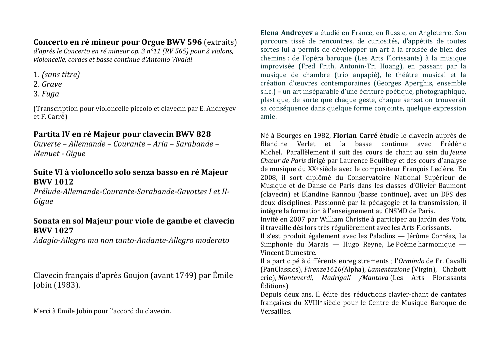## Concerto en ré mineur pour Orgue BWV 596 (extraits)

d'après le Concerto en ré mineur op. 3 n°11 (RV 565) pour 2 violons, violoncelle, cordes et basse continue d'Antonio Vivaldi

- 1. (sans titre)
- 2. Grave
- $3. *Fuga*$

(Transcription pour violoncelle piccolo et clavecin par E. Andreyev et F. Carré)

## Partita IV en ré Maieur pour clavecin BWV 828

Ouverte – Allemande – Courante – Aria – Sarabande – Menuet - Gigue

## Suite VI à violoncello solo senza basso en ré Majeur **RWV 1012**

Prélude-Allemande-Courante-Sarabande-Gavottes I et II-Giaue

### Sonata en sol Majeur pour viole de gambe et clavecin **BWV 1027**

Adagio-Allegro ma non tanto-Andante-Allegro moderato

Clavecin français d'après Goujon (avant 1749) par Émile Jobin (1983).

Merci à Emile Jobin pour l'accord du clavecin.

Elena Andrevev a étudié en France, en Russie, en Angleterre. Son parcours tissé de rencontres, de curiosités, d'appétits de toutes sortes lui a permis de développer un art à la croisée de bien des chemins : de l'opéra baroque (Les Arts Florissants) à la musique improvisée (Fred Frith, Antonin-Tri Hoang), en passant par la musique de chambre (trio anpapié), le théâtre musical et la création d'œuvres contemporaines (Georges Aperghis, ensemble s.i.c.) – un art inséparable d'une écriture poétique, photographique, plastique, de sorte que chaque geste, chaque sensation trouverait sa conséquence dans quelque forme conjointe, quelque expression amie.

Né à Bourges en 1982. Florian Carré étudie le clavecin auprès de Blandine Verlet et la basse continue avec Frédéric Michel. Parallèlement il suit des cours de chant au sein du Jeune Chœur de Paris dirigé par Laurence Equilbey et des cours d'analyse de musique du XX<sup>e</sup> siècle avec le compositeur François Leclère. En 2008, il sort diplômé du Conservatoire National Supérieur de Musique et de Danse de Paris dans les classes d'Olivier Baumont (clavecin) et Blandine Rannou (basse continue), avec un DFS des deux disciplines. Passionné par la pédagogie et la transmission, il intègre la formation à l'enseignement au CNSMD de Paris. Invité en 2007 par William Christie à participer au Jardin des Voix, il travaille dès lors très régulièrement avec les Arts Florissants. Il s'est produit également avec les Paladins — Jérôme Corréas, La

Simphonie du Marais — Hugo Reyne, Le Poème harmonique — Vincent Dumestre.

Il a participé à différents enregistrements ; l'Ormindo de Fr. Cavalli (PanClassics), Firenze1616(Alpha), Lamentazione (Virgin), Chabott erie), Monteverdi, Madrigali / Mantova (Les Arts Florissants Éditions)

Depuis deux ans. Il édite des réductions clavier-chant de cantates françaises du XVIII<sup>e</sup> siècle pour le Centre de Musique Baroque de Versailles.